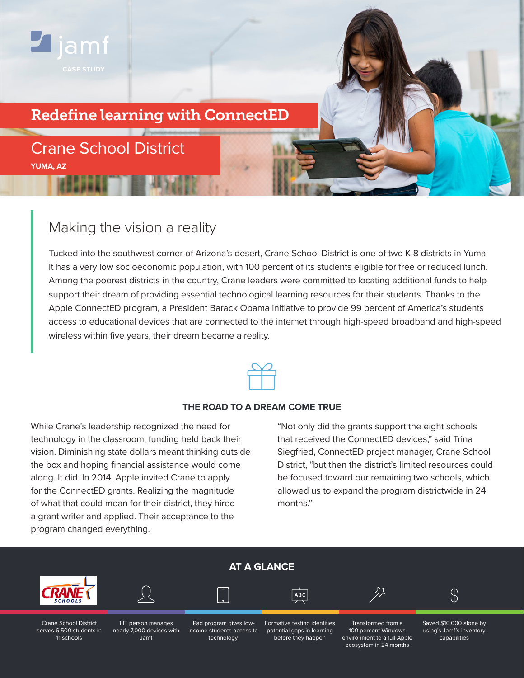

## Redefine learning with ConnectED

# Crane School District **YUMA, AZ**

# Making the vision a reality

Tucked into the southwest corner of Arizona's desert, Crane School District is one of two K-8 districts in Yuma. It has a very low socioeconomic population, with 100 percent of its students eligible for free or reduced lunch. Among the poorest districts in the country, Crane leaders were committed to locating additional funds to help support their dream of providing essential technological learning resources for their students. Thanks to the Apple ConnectED program, a President Barack Obama initiative to provide 99 percent of America's students access to educational devices that are connected to the internet through high-speed broadband and high-speed wireless within five years, their dream became a reality.



### **THE ROAD TO A DREAM COME TRUE**

While Crane's leadership recognized the need for technology in the classroom, funding held back their vision. Diminishing state dollars meant thinking outside the box and hoping financial assistance would come along. It did. In 2014, Apple invited Crane to apply for the ConnectED grants. Realizing the magnitude of what that could mean for their district, they hired a grant writer and applied. Their acceptance to the program changed everything.

"Not only did the grants support the eight schools that received the ConnectED devices," said Trina Siegfried, ConnectED project manager, Crane School District, "but then the district's limited resources could be focused toward our remaining two schools, which allowed us to expand the program districtwide in 24 months."

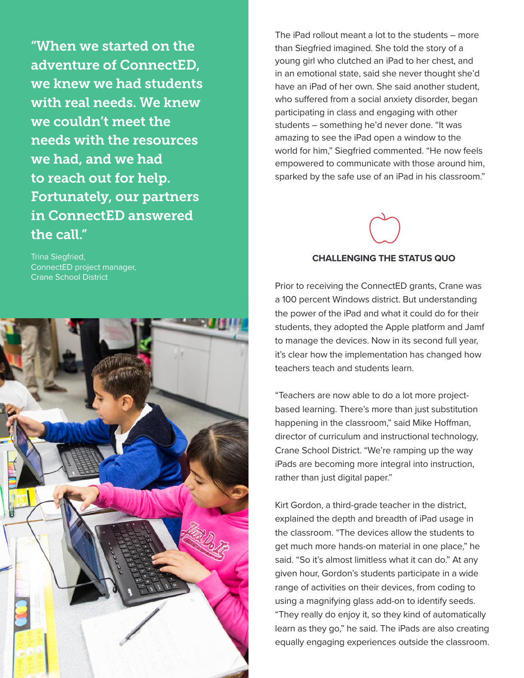"When we started on the adventure of ConnectED, we knew we had students with real needs. We knew we couldn't meet the needs with the resources we had, and we had to reach out for help. Fortunately, our partners in ConnectED answered the call."

Trina Siegfried, ConnectED project manager, Crane School District



The iPad rollout meant a lot to the students – more than Siegfried imagined. She told the story of a young girl who clutched an iPad to her chest, and in an emotional state, said she never thought she'd have an iPad of her own. She said another student, who suffered from a social anxiety disorder, began participating in class and engaging with other students – something he'd never done. "It was amazing to see the iPad open a window to the world for him," Siegfried commented. "He now feels empowered to communicate with those around him, sparked by the safe use of an iPad in his classroom."

### **CHALLENGING THE STATUS QUO**

Prior to receiving the ConnectED grants, Crane was a 100 percent Windows district. But understanding the power of the iPad and what it could do for their students, they adopted the Apple platform and Jamf to manage the devices. Now in its second full year, it's clear how the implementation has changed how teachers teach and students learn.

"Teachers are now able to do a lot more projectbased learning. There's more than just substitution happening in the classroom," said Mike Hoffman, director of curriculum and instructional technology, Crane School District. "We're ramping up the way iPads are becoming more integral into instruction, rather than just digital paper."

Kirt Gordon, a third-grade teacher in the district, explained the depth and breadth of iPad usage in the classroom. "The devices allow the students to get much more hands-on material in one place," he said. "So it's almost limitless what it can do." At any given hour, Gordon's students participate in a wide range of activities on their devices, from coding to using a magnifying glass add-on to identify seeds. "They really do enjoy it, so they kind of automatically learn as they go," he said. The iPads are also creating equally engaging experiences outside the classroom.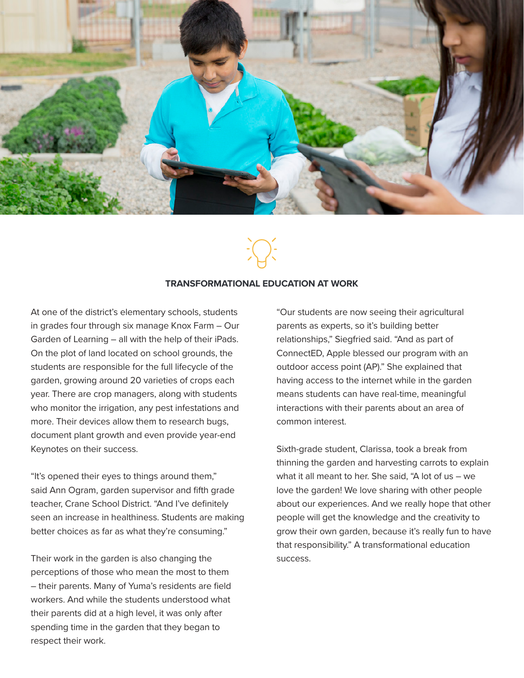

### **TRANSFORMATIONAL EDUCATION AT WORK**

At one of the district's elementary schools, students in grades four through six manage Knox Farm – Our Garden of Learning – all with the help of their iPads. On the plot of land located on school grounds, the students are responsible for the full lifecycle of the garden, growing around 20 varieties of crops each year. There are crop managers, along with students who monitor the irrigation, any pest infestations and more. Their devices allow them to research bugs, document plant growth and even provide year-end Keynotes on their success.

"It's opened their eyes to things around them," said Ann Ogram, garden supervisor and fifth grade teacher, Crane School District. "And I've definitely seen an increase in healthiness. Students are making better choices as far as what they're consuming."

Their work in the garden is also changing the perceptions of those who mean the most to them – their parents. Many of Yuma's residents are field workers. And while the students understood what their parents did at a high level, it was only after spending time in the garden that they began to respect their work.

"Our students are now seeing their agricultural parents as experts, so it's building better relationships," Siegfried said. "And as part of ConnectED, Apple blessed our program with an outdoor access point (AP)." She explained that having access to the internet while in the garden means students can have real-time, meaningful interactions with their parents about an area of common interest.

Sixth-grade student, Clarissa, took a break from thinning the garden and harvesting carrots to explain what it all meant to her. She said, "A lot of us – we love the garden! We love sharing with other people about our experiences. And we really hope that other people will get the knowledge and the creativity to grow their own garden, because it's really fun to have that responsibility." A transformational education success.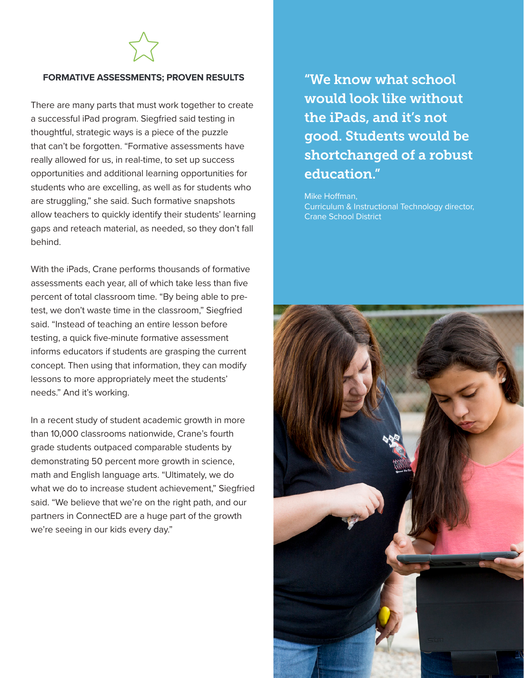### **FORMATIVE ASSESSMENTS; PROVEN RESULTS**

There are many parts that must work together to create a successful iPad program. Siegfried said testing in thoughtful, strategic ways is a piece of the puzzle that can't be forgotten. "Formative assessments have really allowed for us, in real-time, to set up success opportunities and additional learning opportunities for students who are excelling, as well as for students who are struggling," she said. Such formative snapshots allow teachers to quickly identify their students' learning gaps and reteach material, as needed, so they don't fall behind.

With the iPads, Crane performs thousands of formative assessments each year, all of which take less than five percent of total classroom time. "By being able to pretest, we don't waste time in the classroom," Siegfried said. "Instead of teaching an entire lesson before testing, a quick five-minute formative assessment informs educators if students are grasping the current concept. Then using that information, they can modify lessons to more appropriately meet the students' needs." And it's working.

In a recent study of student academic growth in more than 10,000 classrooms nationwide, Crane's fourth grade students outpaced comparable students by demonstrating 50 percent more growth in science, math and English language arts. "Ultimately, we do what we do to increase student achievement," Siegfried said. "We believe that we're on the right path, and our partners in ConnectED are a huge part of the growth we're seeing in our kids every day."

"We know what school would look like without the iPads, and it's not good. Students would be shortchanged of a robust education."

Mike Hoffman, Curriculum & Instructional Technology director, Crane School District